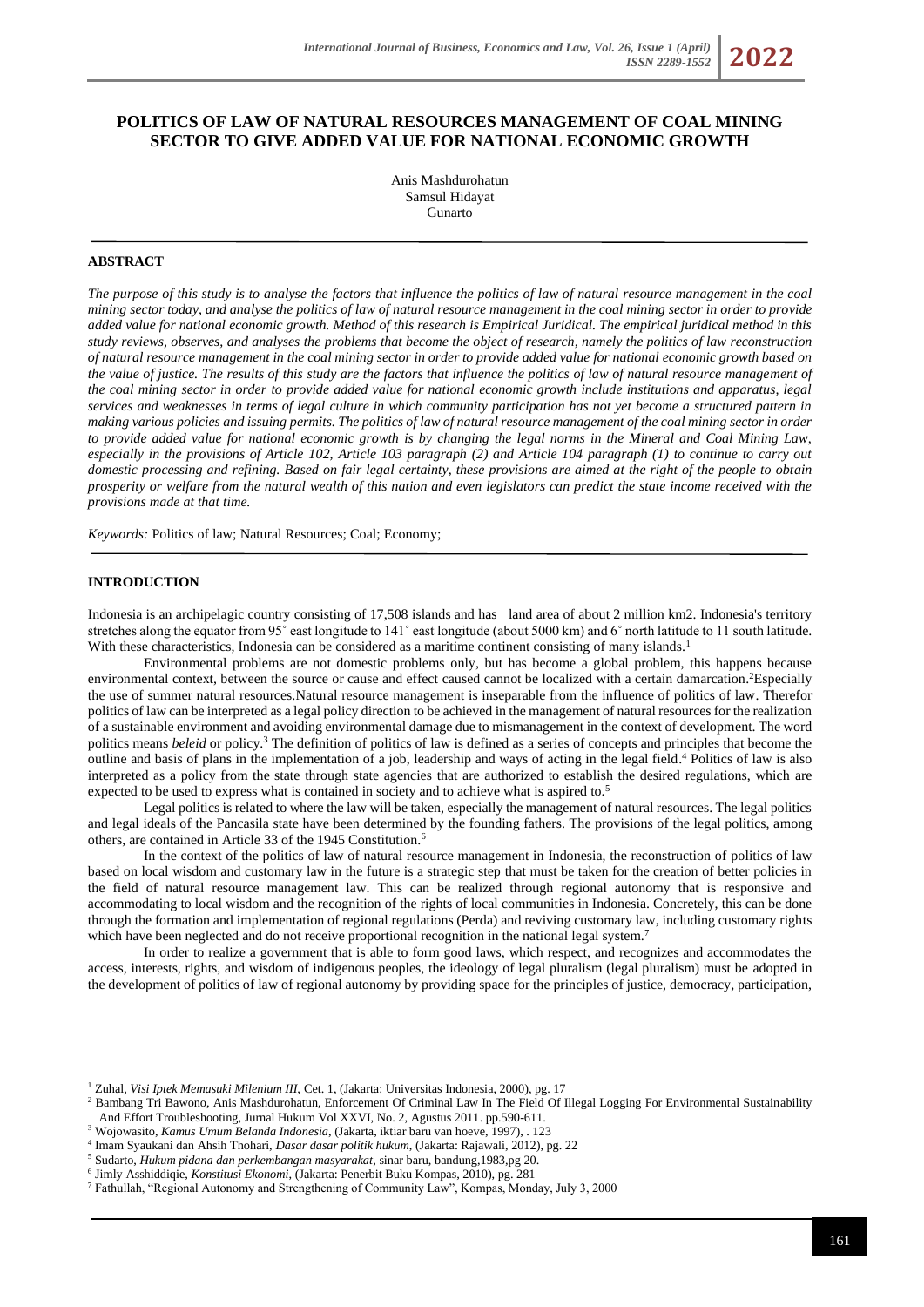# **POLITICS OF LAW OF NATURAL RESOURCES MANAGEMENT OF COAL MINING SECTOR TO GIVE ADDED VALUE FOR NATIONAL ECONOMIC GROWTH**

Anis Mashdurohatun Samsul Hidayat Gunarto

## **ABSTRACT**

*The purpose of this study is to analyse the factors that influence the politics of law of natural resource management in the coal mining sector today, and analyse the politics of law of natural resource management in the coal mining sector in order to provide added value for national economic growth. Method of this research is Empirical Juridical. The empirical juridical method in this study reviews, observes, and analyses the problems that become the object of research, namely the politics of law reconstruction of natural resource management in the coal mining sector in order to provide added value for national economic growth based on the value of justice. The results of this study are the factors that influence the politics of law of natural resource management of the coal mining sector in order to provide added value for national economic growth include institutions and apparatus, legal services and weaknesses in terms of legal culture in which community participation has not yet become a structured pattern in making various policies and issuing permits. The politics of law of natural resource management of the coal mining sector in order to provide added value for national economic growth is by changing the legal norms in the Mineral and Coal Mining Law, especially in the provisions of Article 102, Article 103 paragraph (2) and Article 104 paragraph (1) to continue to carry out domestic processing and refining. Based on fair legal certainty, these provisions are aimed at the right of the people to obtain prosperity or welfare from the natural wealth of this nation and even legislators can predict the state income received with the provisions made at that time.*

*Keywords:* Politics of law; Natural Resources; Coal; Economy;

#### **INTRODUCTION**

Indonesia is an archipelagic country consisting of 17,508 islands and has land area of about 2 million km2. Indonesia's territory stretches along the equator from 95° east longitude to 141° east longitude (about 5000 km) and 6° north latitude to 11 south latitude. With these characteristics, Indonesia can be considered as a maritime continent consisting of many islands.<sup>1</sup>

Environmental problems are not domestic problems only, but has become a global problem, this happens because environmental context, between the source or cause and effect caused cannot be localized with a certain damarcation. <sup>2</sup>Especially the use of summer natural resources.Natural resource management is inseparable from the influence of politics of law. Therefor politics of law can be interpreted as a legal policy direction to be achieved in the management of natural resources for the realization of a sustainable environment and avoiding environmental damage due to mismanagement in the context of development. The word politics means *beleid* or policy.<sup>3</sup> The definition of politics of law is defined as a series of concepts and principles that become the outline and basis of plans in the implementation of a job, leadership and ways of acting in the legal field. <sup>4</sup> Politics of law is also interpreted as a policy from the state through state agencies that are authorized to establish the desired regulations, which are expected to be used to express what is contained in society and to achieve what is aspired to.<sup>5</sup>

Legal politics is related to where the law will be taken, especially the management of natural resources. The legal politics and legal ideals of the Pancasila state have been determined by the founding fathers. The provisions of the legal politics, among others, are contained in Article 33 of the 1945 Constitution.<sup>6</sup>

In the context of the politics of law of natural resource management in Indonesia, the reconstruction of politics of law based on local wisdom and customary law in the future is a strategic step that must be taken for the creation of better policies in the field of natural resource management law. This can be realized through regional autonomy that is responsive and accommodating to local wisdom and the recognition of the rights of local communities in Indonesia. Concretely, this can be done through the formation and implementation of regional regulations (Perda) and reviving customary law, including customary rights which have been neglected and do not receive proportional recognition in the national legal system.<sup>7</sup>

In order to realize a government that is able to form good laws, which respect, and recognizes and accommodates the access, interests, rights, and wisdom of indigenous peoples, the ideology of legal pluralism (legal pluralism) must be adopted in the development of politics of law of regional autonomy by providing space for the principles of justice, democracy, participation,

<sup>&</sup>lt;sup>1</sup> Zuhal, *Visi Iptek Memasuki Milenium III*, Cet. 1, (Jakarta: Universitas Indonesia, 2000), pg. 17

<sup>&</sup>lt;sup>2</sup> Bambang Tri Bawono, Anis Mashdurohatun, Enforcement Of Criminal Law In The Field Of Illegal Logging For Environmental Sustainability And Effort Troubleshooting, Jurnal Hukum Vol XXVI, No. 2, Agustus 2011. pp.590-611.

<sup>3</sup> Wojowasito, *Kamus Umum Belanda Indonesia*, (Jakarta, iktiar baru van hoeve, 1997), . 123

<sup>4</sup> Imam Syaukani dan Ahsih Thohari, *Dasar dasar politik hukum*, (Jakarta: Rajawali, 2012), pg. 22

<sup>5</sup> Sudarto, *Hukum pidana dan perkembangan masyarakat*, sinar baru, bandung,1983,pg 20.

<sup>6</sup> Jimly Asshiddiqie, *Konstitusi Ekonomi*, (Jakarta: Penerbit Buku Kompas, 2010), pg. 281

<sup>7</sup> Fathullah, "Regional Autonomy and Strengthening of Community Law", Kompas, Monday, July 3, 2000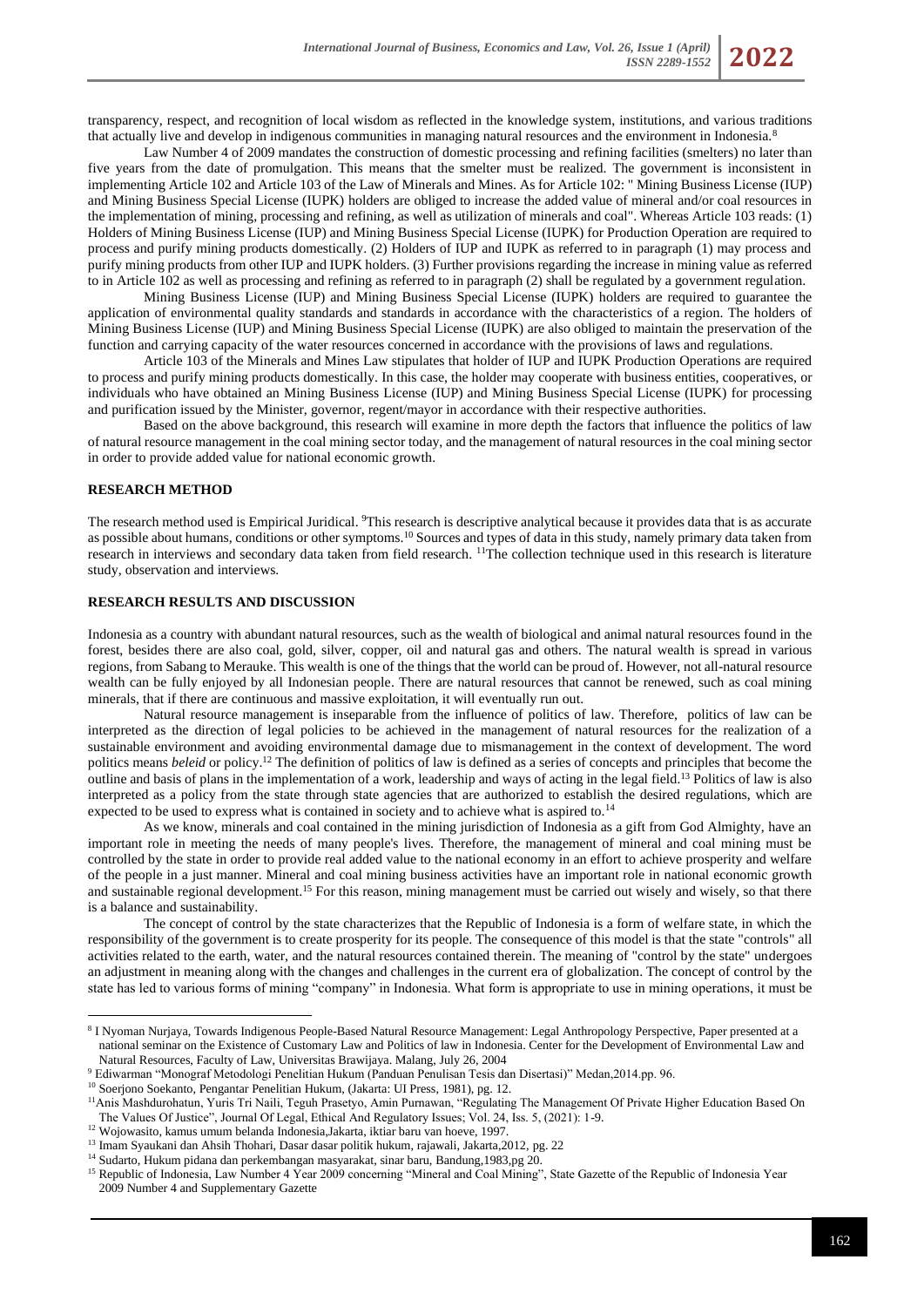transparency, respect, and recognition of local wisdom as reflected in the knowledge system, institutions, and various traditions that actually live and develop in indigenous communities in managing natural resources and the environment in Indonesia.<sup>8</sup>

Law Number 4 of 2009 mandates the construction of domestic processing and refining facilities (smelters) no later than five years from the date of promulgation. This means that the smelter must be realized. The government is inconsistent in implementing Article 102 and Article 103 of the Law of Minerals and Mines. As for Article 102: " Mining Business License (IUP) and Mining Business Special License (IUPK) holders are obliged to increase the added value of mineral and/or coal resources in the implementation of mining, processing and refining, as well as utilization of minerals and coal". Whereas Article 103 reads: (1) Holders of Mining Business License (IUP) and Mining Business Special License (IUPK) for Production Operation are required to process and purify mining products domestically. (2) Holders of IUP and IUPK as referred to in paragraph (1) may process and purify mining products from other IUP and IUPK holders. (3) Further provisions regarding the increase in mining value as referred to in Article 102 as well as processing and refining as referred to in paragraph (2) shall be regulated by a government regulation.

Mining Business License (IUP) and Mining Business Special License (IUPK) holders are required to guarantee the application of environmental quality standards and standards in accordance with the characteristics of a region. The holders of Mining Business License (IUP) and Mining Business Special License (IUPK) are also obliged to maintain the preservation of the function and carrying capacity of the water resources concerned in accordance with the provisions of laws and regulations.

Article 103 of the Minerals and Mines Law stipulates that holder of IUP and IUPK Production Operations are required to process and purify mining products domestically. In this case, the holder may cooperate with business entities, cooperatives, or individuals who have obtained an Mining Business License (IUP) and Mining Business Special License (IUPK) for processing and purification issued by the Minister, governor, regent/mayor in accordance with their respective authorities.

Based on the above background, this research will examine in more depth the factors that influence the politics of law of natural resource management in the coal mining sector today, and the management of natural resources in the coal mining sector in order to provide added value for national economic growth.

### **RESEARCH METHOD**

The research method used is Empirical Juridical. <sup>9</sup>This research is descriptive analytical because it provides data that is as accurate as possible about humans, conditions or other symptoms.<sup>10</sup> Sources and types of data in this study, namely primary data taken from research in interviews and secondary data taken from field research. <sup>11</sup>The collection technique used in this research is literature study, observation and interviews.

## **RESEARCH RESULTS AND DISCUSSION**

Indonesia as a country with abundant natural resources, such as the wealth of biological and animal natural resources found in the forest, besides there are also coal, gold, silver, copper, oil and natural gas and others. The natural wealth is spread in various regions, from Sabang to Merauke. This wealth is one of the things that the world can be proud of. However, not all-natural resource wealth can be fully enjoyed by all Indonesian people. There are natural resources that cannot be renewed, such as coal mining minerals, that if there are continuous and massive exploitation, it will eventually run out.

Natural resource management is inseparable from the influence of politics of law. Therefore, politics of law can be interpreted as the direction of legal policies to be achieved in the management of natural resources for the realization of a sustainable environment and avoiding environmental damage due to mismanagement in the context of development. The word politics means *beleid* or policy.<sup>12</sup> The definition of politics of law is defined as a series of concepts and principles that become the outline and basis of plans in the implementation of a work, leadership and ways of acting in the legal field.<sup>13</sup> Politics of law is also interpreted as a policy from the state through state agencies that are authorized to establish the desired regulations, which are expected to be used to express what is contained in society and to achieve what is aspired to.<sup>14</sup>

As we know, minerals and coal contained in the mining jurisdiction of Indonesia as a gift from God Almighty, have an important role in meeting the needs of many people's lives. Therefore, the management of mineral and coal mining must be controlled by the state in order to provide real added value to the national economy in an effort to achieve prosperity and welfare of the people in a just manner. Mineral and coal mining business activities have an important role in national economic growth and sustainable regional development.<sup>15</sup> For this reason, mining management must be carried out wisely and wisely, so that there is a balance and sustainability.

The concept of control by the state characterizes that the Republic of Indonesia is a form of welfare state, in which the responsibility of the government is to create prosperity for its people. The consequence of this model is that the state "controls" all activities related to the earth, water, and the natural resources contained therein. The meaning of "control by the state" undergoes an adjustment in meaning along with the changes and challenges in the current era of globalization. The concept of control by the state has led to various forms of mining "company" in Indonesia. What form is appropriate to use in mining operations, it must be

<sup>8</sup> I Nyoman Nurjaya, Towards Indigenous People-Based Natural Resource Management: Legal Anthropology Perspective, Paper presented at a national seminar on the Existence of Customary Law and Politics of law in Indonesia. Center for the Development of Environmental Law and Natural Resources, Faculty of Law, Universitas Brawijaya. Malang, July 26, 2004

<sup>9</sup> Ediwarman "Monograf Metodologi Penelitian Hukum (Panduan Penulisan Tesis dan Disertasi)" Medan,2014.pp. 96.

<sup>10</sup> Soerjono Soekanto, Pengantar Penelitian Hukum, (Jakarta: UI Press, 1981), pg. 12.

<sup>11</sup>Anis Mashdurohatun, Yuris Tri Naili, Teguh Prasetyo, Amin Purnawan, "Regulating The Management Of Private Higher Education Based On The Values Of Justice", Journal Of Legal, Ethical And Regulatory Issues; Vol. 24, Iss. 5, (2021): 1-9.

<sup>&</sup>lt;sup>12</sup> Wojowasito, kamus umum belanda Indonesia,Jakarta, iktiar baru van hoeve, 1997.

<sup>&</sup>lt;sup>13</sup> Imam Syaukani dan Ahsih Thohari, Dasar dasar politik hukum, rajawali, Jakarta,2012, pg. 22

<sup>&</sup>lt;sup>14</sup> Sudarto, Hukum pidana dan perkembangan masyarakat, sinar baru, Bandung, 1983, pg 20.

<sup>&</sup>lt;sup>15</sup> Republic of Indonesia, Law Number 4 Year 2009 concerning "Mineral and Coal Mining", State Gazette of the Republic of Indonesia Year 2009 Number 4 and Supplementary Gazette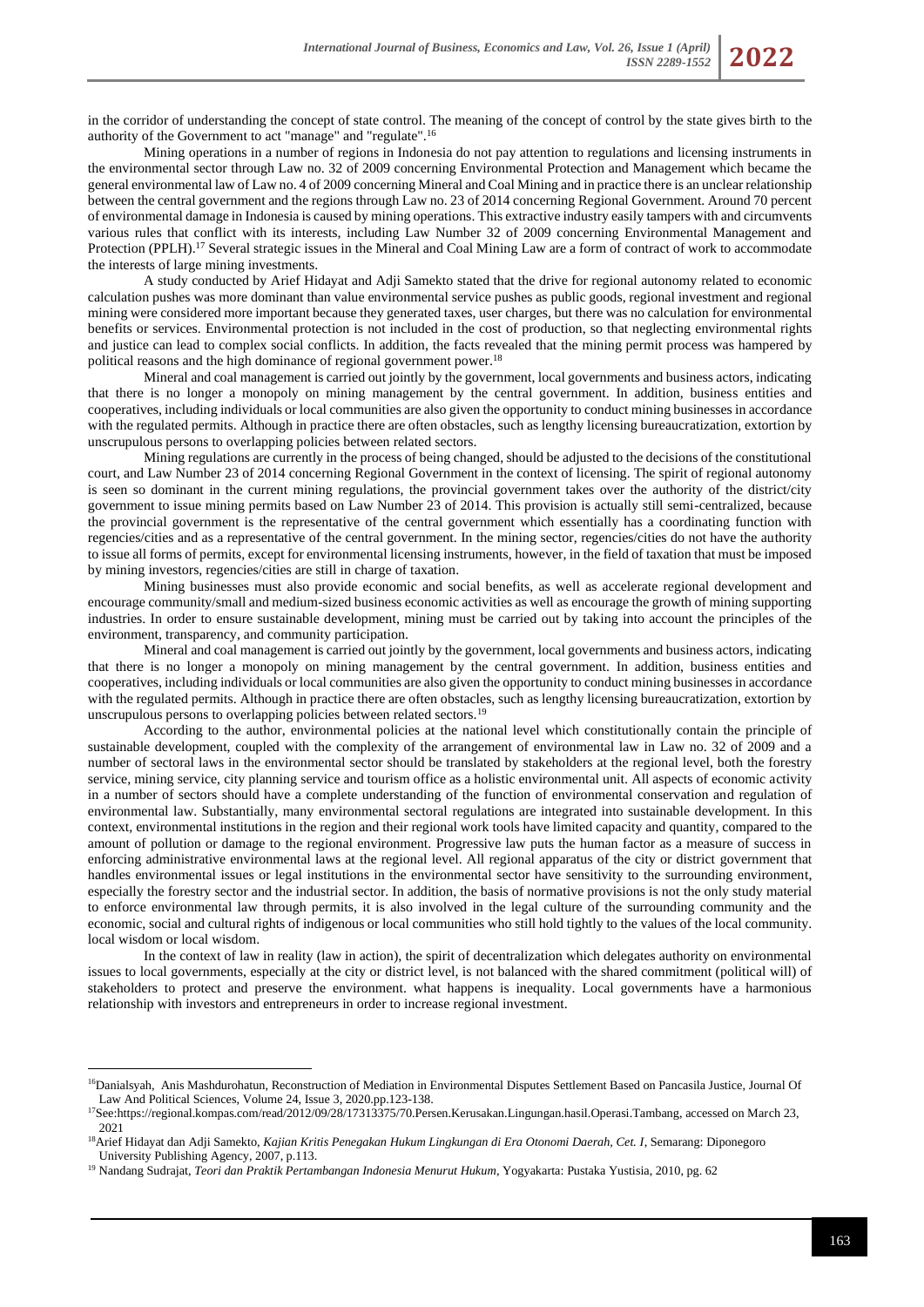in the corridor of understanding the concept of state control. The meaning of the concept of control by the state gives birth to the authority of the Government to act "manage" and "regulate".<sup>16</sup>

Mining operations in a number of regions in Indonesia do not pay attention to regulations and licensing instruments in the environmental sector through Law no. 32 of 2009 concerning Environmental Protection and Management which became the general environmental law of Law no. 4 of 2009 concerning Mineral and Coal Mining and in practice there is an unclear relationship between the central government and the regions through Law no. 23 of 2014 concerning Regional Government. Around 70 percent of environmental damage in Indonesia is caused by mining operations. This extractive industry easily tampers with and circumvents various rules that conflict with its interests, including Law Number 32 of 2009 concerning Environmental Management and Protection (PPLH).<sup>17</sup> Several strategic issues in the Mineral and Coal Mining Law are a form of contract of work to accommodate the interests of large mining investments.

A study conducted by Arief Hidayat and Adji Samekto stated that the drive for regional autonomy related to economic calculation pushes was more dominant than value environmental service pushes as public goods, regional investment and regional mining were considered more important because they generated taxes, user charges, but there was no calculation for environmental benefits or services. Environmental protection is not included in the cost of production, so that neglecting environmental rights and justice can lead to complex social conflicts. In addition, the facts revealed that the mining permit process was hampered by political reasons and the high dominance of regional government power.<sup>18</sup>

Mineral and coal management is carried out jointly by the government, local governments and business actors, indicating that there is no longer a monopoly on mining management by the central government. In addition, business entities and cooperatives, including individuals or local communities are also given the opportunity to conduct mining businesses in accordance with the regulated permits. Although in practice there are often obstacles, such as lengthy licensing bureaucratization, extortion by unscrupulous persons to overlapping policies between related sectors.

Mining regulations are currently in the process of being changed, should be adjusted to the decisions of the constitutional court, and Law Number 23 of 2014 concerning Regional Government in the context of licensing. The spirit of regional autonomy is seen so dominant in the current mining regulations, the provincial government takes over the authority of the district/city government to issue mining permits based on Law Number 23 of 2014. This provision is actually still semi-centralized, because the provincial government is the representative of the central government which essentially has a coordinating function with regencies/cities and as a representative of the central government. In the mining sector, regencies/cities do not have the authority to issue all forms of permits, except for environmental licensing instruments, however, in the field of taxation that must be imposed by mining investors, regencies/cities are still in charge of taxation.

Mining businesses must also provide economic and social benefits, as well as accelerate regional development and encourage community/small and medium-sized business economic activities as well as encourage the growth of mining supporting industries. In order to ensure sustainable development, mining must be carried out by taking into account the principles of the environment, transparency, and community participation.

Mineral and coal management is carried out jointly by the government, local governments and business actors, indicating that there is no longer a monopoly on mining management by the central government. In addition, business entities and cooperatives, including individuals or local communities are also given the opportunity to conduct mining businesses in accordance with the regulated permits. Although in practice there are often obstacles, such as lengthy licensing bureaucratization, extortion by unscrupulous persons to overlapping policies between related sectors.<sup>19</sup>

According to the author, environmental policies at the national level which constitutionally contain the principle of sustainable development, coupled with the complexity of the arrangement of environmental law in Law no. 32 of 2009 and a number of sectoral laws in the environmental sector should be translated by stakeholders at the regional level, both the forestry service, mining service, city planning service and tourism office as a holistic environmental unit. All aspects of economic activity in a number of sectors should have a complete understanding of the function of environmental conservation and regulation of environmental law. Substantially, many environmental sectoral regulations are integrated into sustainable development. In this context, environmental institutions in the region and their regional work tools have limited capacity and quantity, compared to the amount of pollution or damage to the regional environment. Progressive law puts the human factor as a measure of success in enforcing administrative environmental laws at the regional level. All regional apparatus of the city or district government that handles environmental issues or legal institutions in the environmental sector have sensitivity to the surrounding environment, especially the forestry sector and the industrial sector. In addition, the basis of normative provisions is not the only study material to enforce environmental law through permits, it is also involved in the legal culture of the surrounding community and the economic, social and cultural rights of indigenous or local communities who still hold tightly to the values of the local community. local wisdom or local wisdom.

In the context of law in reality (law in action), the spirit of decentralization which delegates authority on environmental issues to local governments, especially at the city or district level, is not balanced with the shared commitment (political will) of stakeholders to protect and preserve the environment. what happens is inequality. Local governments have a harmonious relationship with investors and entrepreneurs in order to increase regional investment.

<sup>&</sup>lt;sup>16</sup>Danialsyah, Anis Mashdurohatun, Reconstruction of Mediation in Environmental Disputes Settlement Based on Pancasila Justice, Journal Of Law And Political Sciences, Volume 24, Issue 3, 2020.pp.123-138.

<sup>&</sup>lt;sup>17</sup>See:https://regional.kompas.com/read/2012/09/28/17313375/70.Persen.Kerusakan.Lingungan.hasil.Operasi.Tambang, accessed on March 23, 2021

<sup>18</sup>Arief Hidayat dan Adji Samekto, *Kajian Kritis Penegakan Hukum Lingkungan di Era Otonomi Daerah, Cet. I*, Semarang: Diponegoro University Publishing Agency, 2007, p.113.

<sup>19</sup> Nandang Sudrajat, *Teori dan Praktik Pertambangan Indonesia Menurut Hukum*, Yogyakarta: Pustaka Yustisia, 2010, pg. 62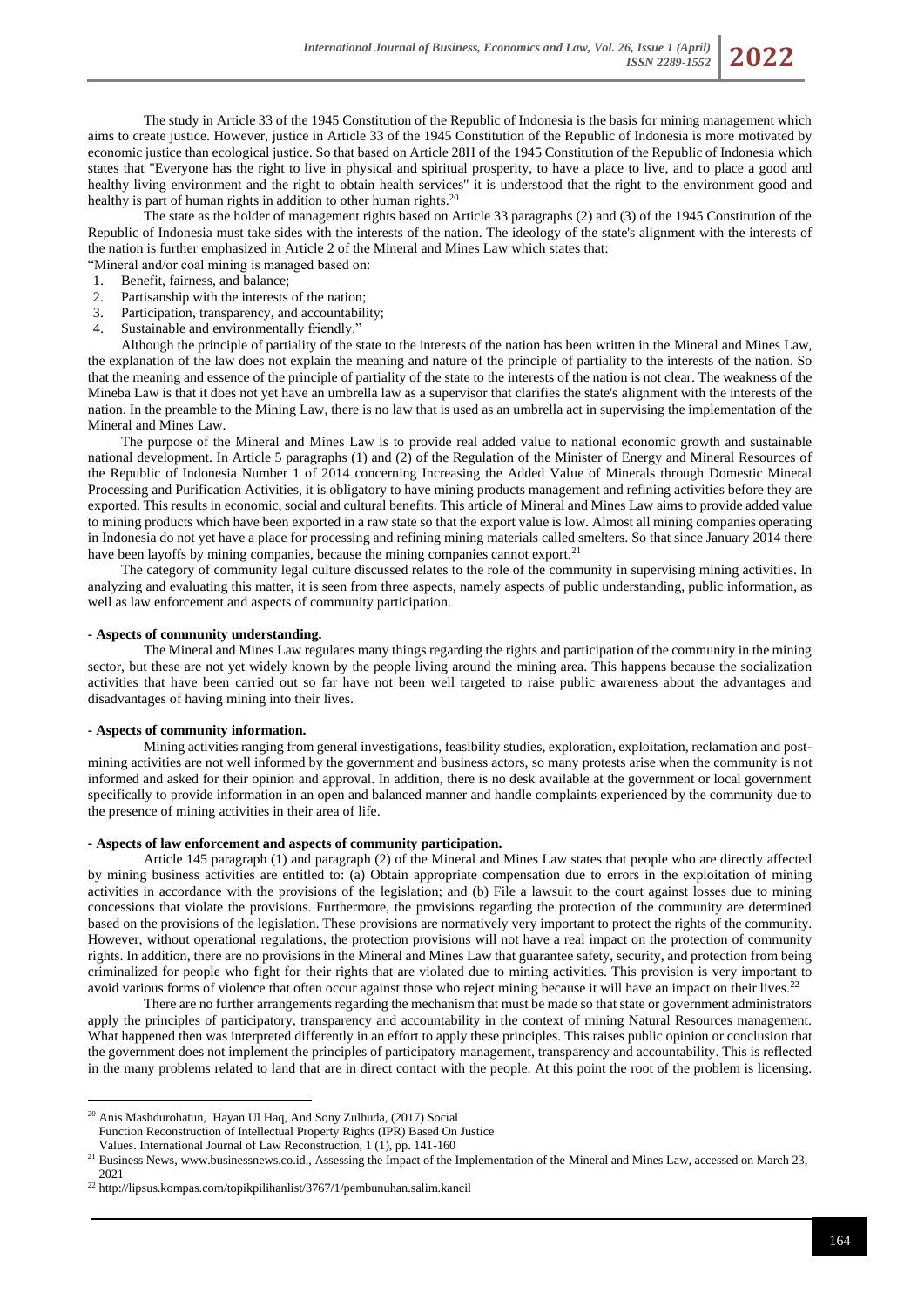The study in Article 33 of the 1945 Constitution of the Republic of Indonesia is the basis for mining management which aims to create justice. However, justice in Article 33 of the 1945 Constitution of the Republic of Indonesia is more motivated by economic justice than ecological justice. So that based on Article 28H of the 1945 Constitution of the Republic of Indonesia which states that "Everyone has the right to live in physical and spiritual prosperity, to have a place to live, and to place a good and healthy living environment and the right to obtain health services" it is understood that the right to the environment good and healthy is part of human rights in addition to other human rights.<sup>20</sup>

The state as the holder of management rights based on Article 33 paragraphs (2) and (3) of the 1945 Constitution of the Republic of Indonesia must take sides with the interests of the nation. The ideology of the state's alignment with the interests of the nation is further emphasized in Article 2 of the Mineral and Mines Law which states that:

"Mineral and/or coal mining is managed based on:

- 1. Benefit, fairness, and balance;
- 2. Partisanship with the interests of the nation;
- 3. Participation, transparency, and accountability;
- 4. Sustainable and environmentally friendly."

Although the principle of partiality of the state to the interests of the nation has been written in the Mineral and Mines Law, the explanation of the law does not explain the meaning and nature of the principle of partiality to the interests of the nation. So that the meaning and essence of the principle of partiality of the state to the interests of the nation is not clear. The weakness of the Mineba Law is that it does not yet have an umbrella law as a supervisor that clarifies the state's alignment with the interests of the nation. In the preamble to the Mining Law, there is no law that is used as an umbrella act in supervising the implementation of the Mineral and Mines Law.

The purpose of the Mineral and Mines Law is to provide real added value to national economic growth and sustainable national development. In Article 5 paragraphs (1) and (2) of the Regulation of the Minister of Energy and Mineral Resources of the Republic of Indonesia Number 1 of 2014 concerning Increasing the Added Value of Minerals through Domestic Mineral Processing and Purification Activities, it is obligatory to have mining products management and refining activities before they are exported. This results in economic, social and cultural benefits. This article of Mineral and Mines Law aims to provide added value to mining products which have been exported in a raw state so that the export value is low. Almost all mining companies operating in Indonesia do not yet have a place for processing and refining mining materials called smelters. So that since January 2014 there have been layoffs by mining companies, because the mining companies cannot export.<sup>21</sup>

The category of community legal culture discussed relates to the role of the community in supervising mining activities. In analyzing and evaluating this matter, it is seen from three aspects, namely aspects of public understanding, public information, as well as law enforcement and aspects of community participation.

#### **- Aspects of community understanding.**

The Mineral and Mines Law regulates many things regarding the rights and participation of the community in the mining sector, but these are not yet widely known by the people living around the mining area. This happens because the socialization activities that have been carried out so far have not been well targeted to raise public awareness about the advantages and disadvantages of having mining into their lives.

#### **- Aspects of community information.**

Mining activities ranging from general investigations, feasibility studies, exploration, exploitation, reclamation and postmining activities are not well informed by the government and business actors, so many protests arise when the community is not informed and asked for their opinion and approval. In addition, there is no desk available at the government or local government specifically to provide information in an open and balanced manner and handle complaints experienced by the community due to the presence of mining activities in their area of life.

#### **- Aspects of law enforcement and aspects of community participation.**

Article 145 paragraph (1) and paragraph (2) of the Mineral and Mines Law states that people who are directly affected by mining business activities are entitled to: (a) Obtain appropriate compensation due to errors in the exploitation of mining activities in accordance with the provisions of the legislation; and (b) File a lawsuit to the court against losses due to mining concessions that violate the provisions. Furthermore, the provisions regarding the protection of the community are determined based on the provisions of the legislation. These provisions are normatively very important to protect the rights of the community. However, without operational regulations, the protection provisions will not have a real impact on the protection of community rights. In addition, there are no provisions in the Mineral and Mines Law that guarantee safety, security, and protection from being criminalized for people who fight for their rights that are violated due to mining activities. This provision is very important to avoid various forms of violence that often occur against those who reject mining because it will have an impact on their lives.<sup>22</sup>

There are no further arrangements regarding the mechanism that must be made so that state or government administrators apply the principles of participatory, transparency and accountability in the context of mining Natural Resources management. What happened then was interpreted differently in an effort to apply these principles. This raises public opinion or conclusion that the government does not implement the principles of participatory management, transparency and accountability. This is reflected in the many problems related to land that are in direct contact with the people. At this point the root of the problem is licensing.

<sup>20</sup> Anis Mashdurohatun, Hayan Ul Haq, And Sony Zulhuda, (2017) Social Function Reconstruction of Intellectual Property Rights (IPR) Based On Justice Values. International Journal of Law Reconstruction, 1 (1), pp. 141-160

<sup>&</sup>lt;sup>21</sup> Business News, www.businessnews.co.id., Assessing the Impact of the Implementation of the Mineral and Mines Law, accessed on March 23, 2021

<sup>22</sup> <http://lipsus.kompas.com/topikpilihanlist/3767/1/pembunuhan.salim.kancil>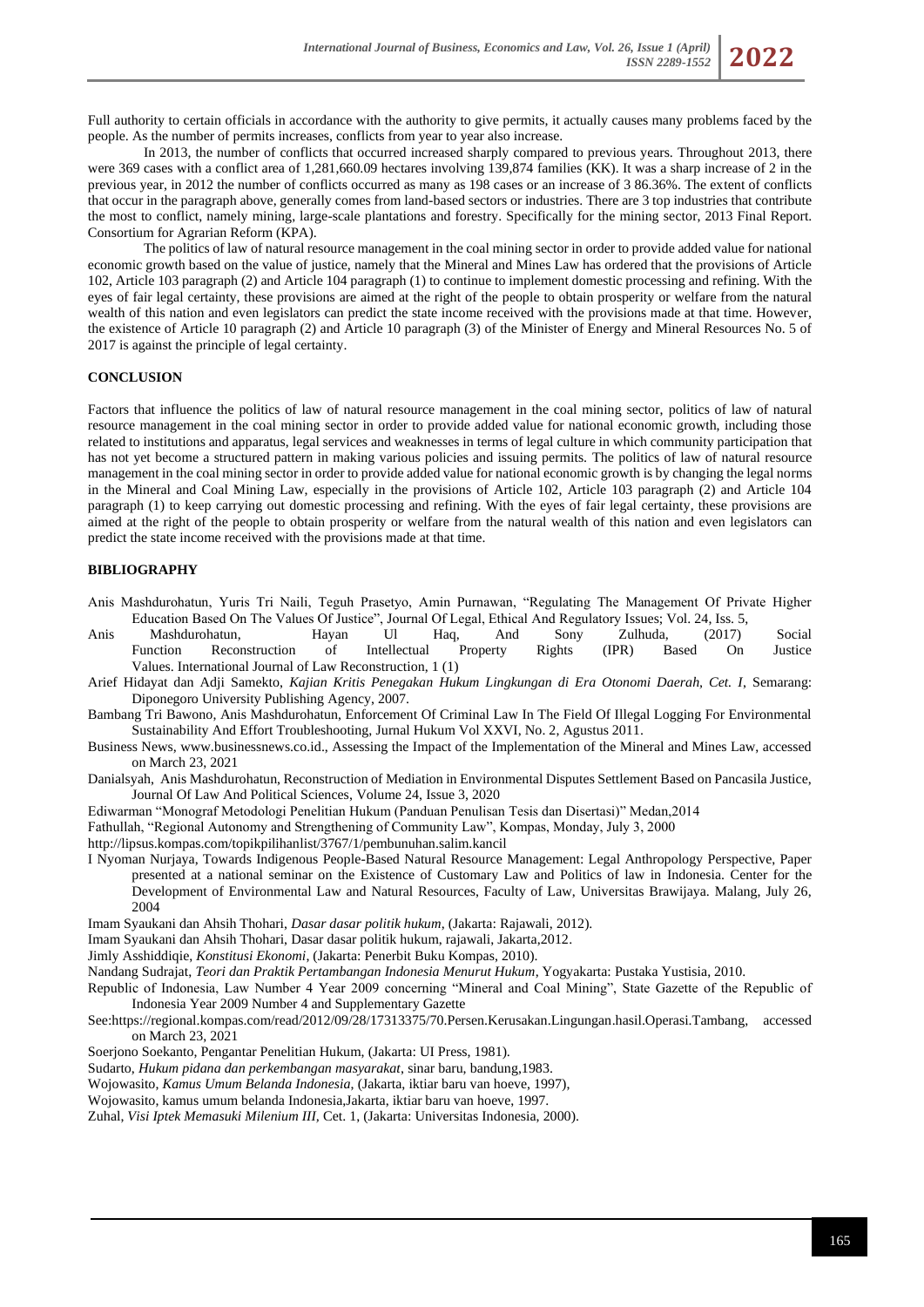Full authority to certain officials in accordance with the authority to give permits, it actually causes many problems faced by the people. As the number of permits increases, conflicts from year to year also increase.

In 2013, the number of conflicts that occurred increased sharply compared to previous years. Throughout 2013, there were 369 cases with a conflict area of 1,281,660.09 hectares involving 139,874 families (KK). It was a sharp increase of 2 in the previous year, in 2012 the number of conflicts occurred as many as 198 cases or an increase of 3 86.36%. The extent of conflicts that occur in the paragraph above, generally comes from land-based sectors or industries. There are 3 top industries that contribute the most to conflict, namely mining, large-scale plantations and forestry. Specifically for the mining sector, 2013 Final Report. Consortium for Agrarian Reform (KPA).

The politics of law of natural resource management in the coal mining sector in order to provide added value for national economic growth based on the value of justice, namely that the Mineral and Mines Law has ordered that the provisions of Article 102, Article 103 paragraph (2) and Article 104 paragraph (1) to continue to implement domestic processing and refining. With the eyes of fair legal certainty, these provisions are aimed at the right of the people to obtain prosperity or welfare from the natural wealth of this nation and even legislators can predict the state income received with the provisions made at that time. However, the existence of Article 10 paragraph (2) and Article 10 paragraph (3) of the Minister of Energy and Mineral Resources No. 5 of 2017 is against the principle of legal certainty.

#### **CONCLUSION**

Factors that influence the politics of law of natural resource management in the coal mining sector, politics of law of natural resource management in the coal mining sector in order to provide added value for national economic growth, including those related to institutions and apparatus, legal services and weaknesses in terms of legal culture in which community participation that has not yet become a structured pattern in making various policies and issuing permits. The politics of law of natural resource management in the coal mining sector in order to provide added value for national economic growth is by changing the legal norms in the Mineral and Coal Mining Law, especially in the provisions of Article 102, Article 103 paragraph (2) and Article 104 paragraph (1) to keep carrying out domestic processing and refining. With the eyes of fair legal certainty, these provisions are aimed at the right of the people to obtain prosperity or welfare from the natural wealth of this nation and even legislators can predict the state income received with the provisions made at that time.

### **BIBLIOGRAPHY**

- Anis Mashdurohatun, Yuris Tri Naili, Teguh Prasetyo, Amin Purnawan, "Regulating The Management Of Private Higher Education Based On The Values Of Justice", Journal Of Legal, Ethical And Regulatory Issues; Vol. 24, Iss. 5,
- Anis Mashdurohatun, Hayan Ul Haq, And Sony Zulhuda, (2017) Social Function Reconstruction of Intellectual Property Rights (IPR) Based On Justice Values. International Journal of Law Reconstruction, 1 (1)
- Arief Hidayat dan Adji Samekto, *Kajian Kritis Penegakan Hukum Lingkungan di Era Otonomi Daerah, Cet. I*, Semarang: Diponegoro University Publishing Agency, 2007.
- Bambang Tri Bawono, Anis Mashdurohatun, Enforcement Of Criminal Law In The Field Of Illegal Logging For Environmental Sustainability And Effort Troubleshooting, Jurnal Hukum Vol XXVI, No. 2, Agustus 2011.
- Business News, www.businessnews.co.id., Assessing the Impact of the Implementation of the Mineral and Mines Law, accessed on March 23, 2021
- Danialsyah, Anis Mashdurohatun, Reconstruction of Mediation in Environmental Disputes Settlement Based on Pancasila Justice, Journal Of Law And Political Sciences, Volume 24, Issue 3, 2020
- Ediwarman "Monograf Metodologi Penelitian Hukum (Panduan Penulisan Tesis dan Disertasi)" Medan,2014
- Fathullah, "Regional Autonomy and Strengthening of Community Law", Kompas, Monday, July 3, 2000
- <http://lipsus.kompas.com/topikpilihanlist/3767/1/pembunuhan.salim.kancil>
- I Nyoman Nurjaya, Towards Indigenous People-Based Natural Resource Management: Legal Anthropology Perspective, Paper presented at a national seminar on the Existence of Customary Law and Politics of law in Indonesia. Center for the Development of Environmental Law and Natural Resources, Faculty of Law, Universitas Brawijaya. Malang, July 26, 2004
- Imam Syaukani dan Ahsih Thohari, *Dasar dasar politik hukum*, (Jakarta: Rajawali, 2012).
- Imam Syaukani dan Ahsih Thohari, Dasar dasar politik hukum, rajawali, Jakarta,2012.
- Jimly Asshiddiqie, *Konstitusi Ekonomi*, (Jakarta: Penerbit Buku Kompas, 2010).
- Nandang Sudrajat, *Teori dan Praktik Pertambangan Indonesia Menurut Hukum*, Yogyakarta: Pustaka Yustisia, 2010.
- Republic of Indonesia, Law Number 4 Year 2009 concerning "Mineral and Coal Mining", State Gazette of the Republic of Indonesia Year 2009 Number 4 and Supplementary Gazette
- See:https://regional.kompas.com/read/2012/09/28/17313375/70.Persen.Kerusakan.Lingungan.hasil.Operasi.Tambang, accessed on March 23, 2021
- Soerjono Soekanto, Pengantar Penelitian Hukum, (Jakarta: UI Press, 1981).
- Sudarto, *Hukum pidana dan perkembangan masyarakat*, sinar baru, bandung,1983.
- Wojowasito, *Kamus Umum Belanda Indonesia*, (Jakarta, iktiar baru van hoeve, 1997),
- Wojowasito, kamus umum belanda Indonesia,Jakarta, iktiar baru van hoeve, 1997.
- Zuhal, *Visi Iptek Memasuki Milenium III,* Cet. 1, (Jakarta: Universitas Indonesia, 2000).